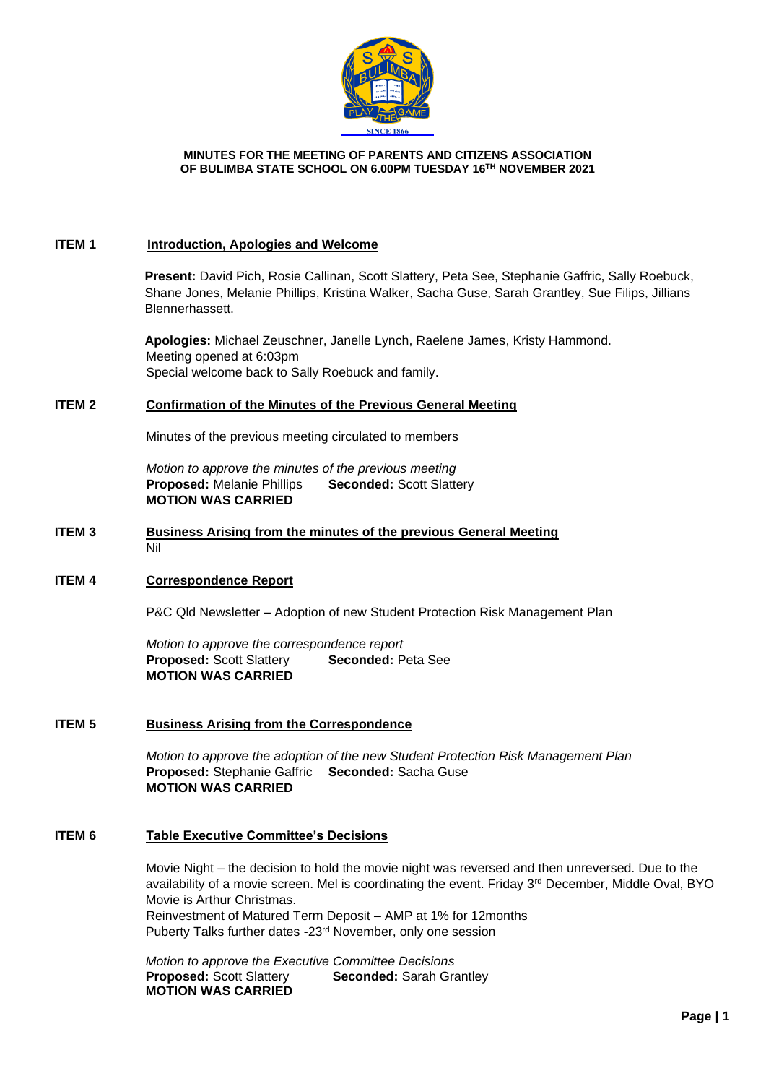

#### **MINUTES FOR THE MEETING OF PARENTS AND CITIZENS ASSOCIATION OF BULIMBA STATE SCHOOL ON 6.00PM TUESDAY 16 TH NOVEMBER 2021**

#### **ITEM 1 Introduction, Apologies and Welcome**

**Present:** David Pich, Rosie Callinan, Scott Slattery, Peta See, Stephanie Gaffric, Sally Roebuck, Shane Jones, Melanie Phillips, Kristina Walker, Sacha Guse, Sarah Grantley, Sue Filips, Jillians Blennerhassett.

**Apologies:** Michael Zeuschner, Janelle Lynch, Raelene James, Kristy Hammond. Meeting opened at 6:03pm Special welcome back to Sally Roebuck and family.

#### **ITEM 2 Confirmation of the Minutes of the Previous General Meeting**

Minutes of the previous meeting circulated to members

*Motion to approve the minutes of the previous meeting* **Proposed:** Melanie Phillips **Seconded:** Scott Slattery **MOTION WAS CARRIED**

### **ITEM 3 Business Arising from the minutes of the previous General Meeting** Nil

#### **ITEM 4 Correspondence Report**

P&C Qld Newsletter – Adoption of new Student Protection Risk Management Plan

*Motion to approve the correspondence report* **Proposed:** Scott Slattery **Seconded:** Peta See **MOTION WAS CARRIED**

## **ITEM 5 Business Arising from the Correspondence**

*Motion to approve the adoption of the new Student Protection Risk Management Plan* **Proposed:** Stephanie Gaffric **Seconded:** Sacha Guse **MOTION WAS CARRIED**

#### **ITEM 6 Table Executive Committee's Decisions**

Movie Night – the decision to hold the movie night was reversed and then unreversed. Due to the availability of a movie screen. Mel is coordinating the event. Friday 3<sup>rd</sup> December, Middle Oval, BYO Movie is Arthur Christmas. Reinvestment of Matured Term Deposit – AMP at 1% for 12months Puberty Talks further dates -23rd November, only one session

*Motion to approve the Executive Committee Decisions* **Proposed:** Scott Slattery **Seconded:** Sarah Grantley **MOTION WAS CARRIED**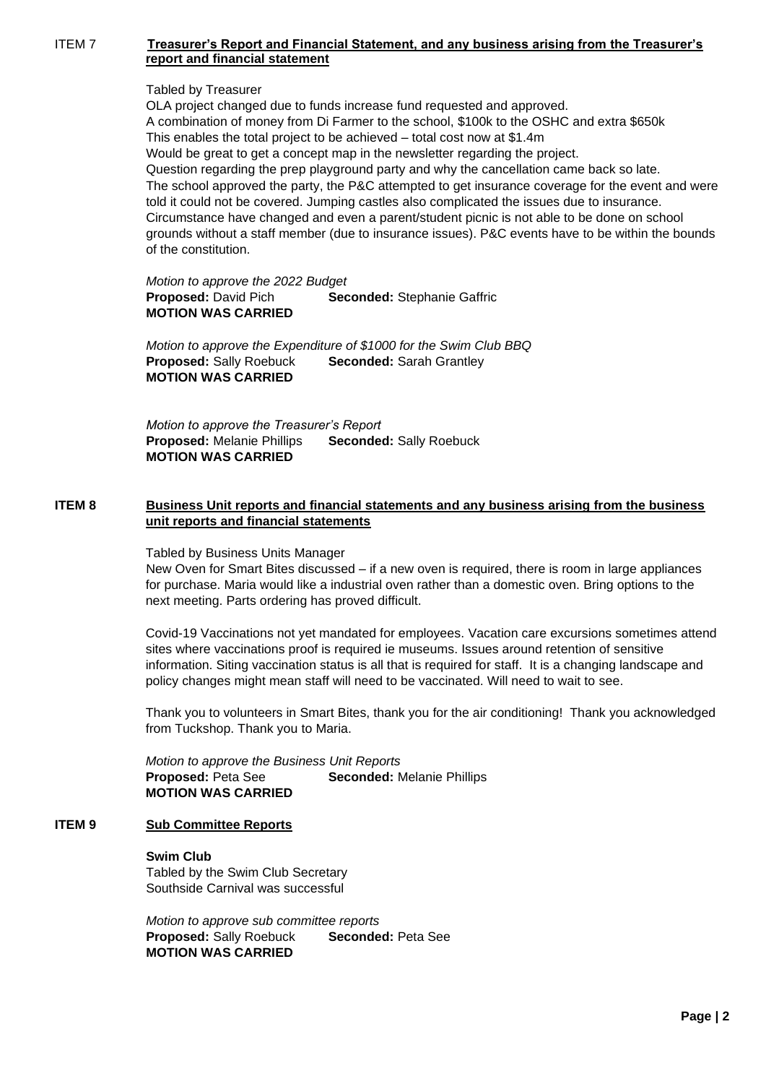## ITEM 7 **Treasurer's Report and Financial Statement, and any business arising from the Treasurer's report and financial statement**

### Tabled by Treasurer

OLA project changed due to funds increase fund requested and approved. A combination of money from Di Farmer to the school, \$100k to the OSHC and extra \$650k This enables the total project to be achieved – total cost now at \$1.4m Would be great to get a concept map in the newsletter regarding the project. Question regarding the prep playground party and why the cancellation came back so late. The school approved the party, the P&C attempted to get insurance coverage for the event and were told it could not be covered. Jumping castles also complicated the issues due to insurance. Circumstance have changed and even a parent/student picnic is not able to be done on school grounds without a staff member (due to insurance issues). P&C events have to be within the bounds of the constitution.

*Motion to approve the 2022 Budget* **Proposed:** David Pich **Seconded:** Stephanie Gaffric **MOTION WAS CARRIED**

*Motion to approve the Expenditure of \$1000 for the Swim Club BBQ* **Proposed:** Sally Roebuck **Seconded:** Sarah Grantley **MOTION WAS CARRIED**

*Motion to approve the Treasurer's Report* **Proposed:** Melanie Phillips **Seconded:** Sally Roebuck **MOTION WAS CARRIED**

## **ITEM 8 Business Unit reports and financial statements and any business arising from the business unit reports and financial statements**

Tabled by Business Units Manager

New Oven for Smart Bites discussed – if a new oven is required, there is room in large appliances for purchase. Maria would like a industrial oven rather than a domestic oven. Bring options to the next meeting. Parts ordering has proved difficult.

Covid-19 Vaccinations not yet mandated for employees. Vacation care excursions sometimes attend sites where vaccinations proof is required ie museums. Issues around retention of sensitive information. Siting vaccination status is all that is required for staff. It is a changing landscape and policy changes might mean staff will need to be vaccinated. Will need to wait to see.

Thank you to volunteers in Smart Bites, thank you for the air conditioning! Thank you acknowledged from Tuckshop. Thank you to Maria.

 *Motion to approve the Business Unit Reports* **Proposed:** Peta See **Seconded:** Melanie Phillips **MOTION WAS CARRIED**

# **ITEM 9 Sub Committee Reports**

**Swim Club** Tabled by the Swim Club Secretary Southside Carnival was successful

*Motion to approve sub committee reports* **Proposed:** Sally Roebuck **Seconded:** Peta See **MOTION WAS CARRIED**